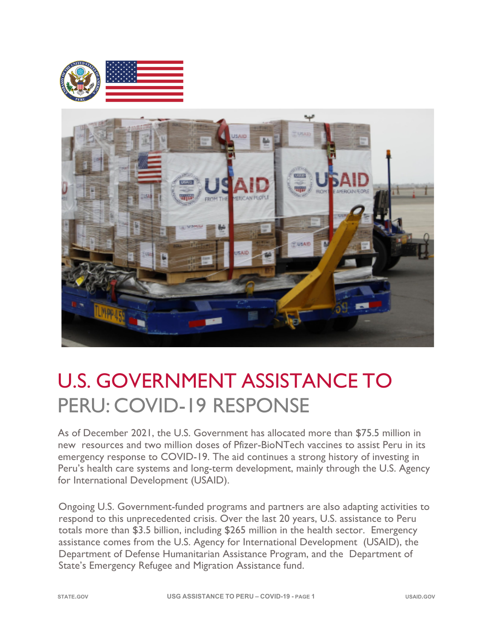



# U.S. GOVERNMENT ASSISTANCE TO PERU: COVID-19 RESPONSE

As of December 2021, the U.S. Government has allocated more than \$75.5 million in new resources and two million doses of Pfizer-BioNTech vaccines to assist Peru in its emergency response to COVID-19. The aid continues a strong history of investing in Peru's health care systems and long-term development, mainly through the U.S. Agency for International Development (USAID).

Ongoing U.S. Government-funded programs and partners are also adapting activities to respond to this unprecedented crisis. Over the last 20 years, U.S. assistance to Peru totals more than \$3.5 billion, including \$265 million in the health sector. Emergency assistance comes from the U.S. Agency for International Development (USAID), the Department of Defense Humanitarian Assistance Program, and the Department of State's Emergency Refugee and Migration Assistance fund.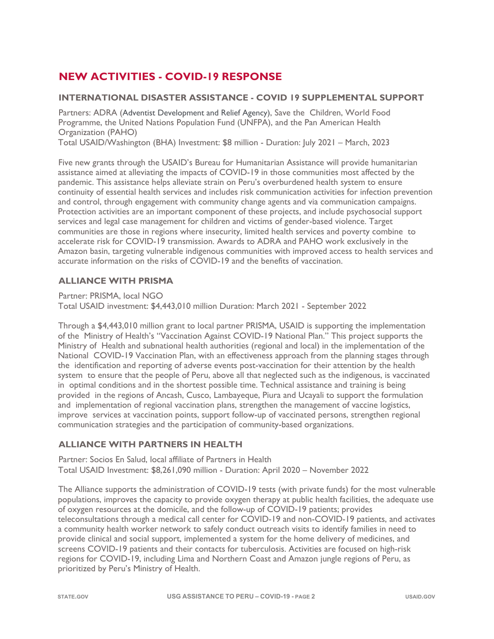# **NEW ACTIVITIES - COVID-19 RESPONSE**

#### **INTERNATIONAL DISASTER ASSISTANCE - COVID 19 SUPPLEMENTAL SUPPORT**

Partners: ADRA (Adventist Development and Relief Agency), Save the Children, World Food Programme, the United Nations Population Fund (UNFPA), and the Pan American Health Organization (PAHO)

Total USAID/Washington (BHA) Investment: \$8 million - Duration: July 2021 – March, 2023

Five new grants through the USAID's Bureau for Humanitarian Assistance will provide humanitarian assistance aimed at alleviating the impacts of COVID-19 in those communities most affected by the pandemic. This assistance helps alleviate strain on Peru's overburdened health system to ensure continuity of essential health services and includes risk communication activities for infection prevention and control, through engagement with community change agents and via communication campaigns. Protection activities are an important component of these projects, and include psychosocial support services and legal case management for children and victims of gender-based violence. Target communities are those in regions where insecurity, limited health services and poverty combine to accelerate risk for COVID-19 transmission. Awards to ADRA and PAHO work exclusively in the Amazon basin, targeting vulnerable indigenous communities with improved access to health services and accurate information on the risks of COVID-19 and the benefits of vaccination.

#### **ALLIANCE WITH PRISMA**

Partner: PRISMA, local NGO

Total USAID investment: \$4,443,010 million Duration: March 2021 - September 2022

Through a \$4,443,010 million grant to local partner PRISMA, USAID is supporting the implementation of the Ministry of Health's "Vaccination Against COVID-19 National Plan." This project supports the Ministry of Health and subnational health authorities (regional and local) in the implementation of the National COVID-19 Vaccination Plan, with an effectiveness approach from the planning stages through the identification and reporting of adverse events post-vaccination for their attention by the health system to ensure that the people of Peru, above all that neglected such as the indigenous, is vaccinated in optimal conditions and in the shortest possible time. Technical assistance and training is being provided in the regions of Ancash, Cusco, Lambayeque, Piura and Ucayali to support the formulation and implementation of regional vaccination plans, strengthen the management of vaccine logistics, improve services at vaccination points, support follow-up of vaccinated persons, strengthen regional communication strategies and the participation of community-based organizations.

#### **ALLIANCE WITH PARTNERS IN HEALTH**

Partner: Socios En Salud, local affiliate of Partners in Health Total USAID Investment: \$8,261,090 million - Duration: April 2020 – November 2022

The Alliance supports the administration of COVID-19 tests (with private funds) for the most vulnerable populations, improves the capacity to provide oxygen therapy at public health facilities, the adequate use of oxygen resources at the domicile, and the follow-up of COVID-19 patients; provides teleconsultations through a medical call center for COVID-19 and non-COVID-19 patients, and activates a community health worker network to safely conduct outreach visits to identify families in need to provide clinical and social support, implemented a system for the home delivery of medicines, and screens COVID-19 patients and their contacts for tuberculosis. Activities are focused on high-risk regions for COVID-19, including Lima and Northern Coast and Amazon jungle regions of Peru, as prioritized by Peru's Ministry of Health.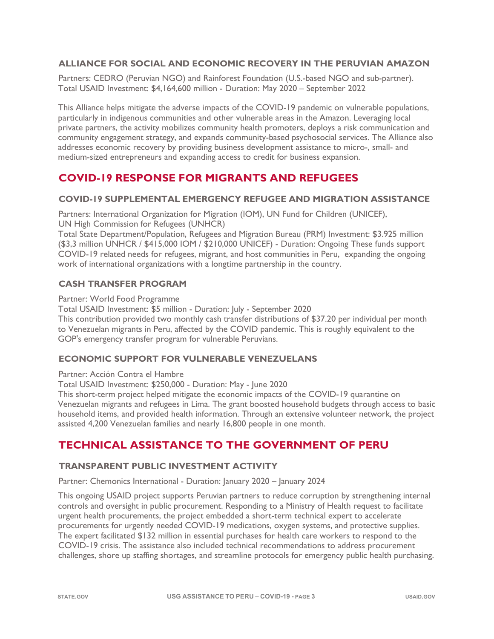# **ALLIANCE FOR SOCIAL AND ECONOMIC RECOVERY IN THE PERUVIAN AMAZON**

Partners: CEDRO (Peruvian NGO) and Rainforest Foundation (U.S.-based NGO and sub-partner). Total USAID Investment: \$4,164,600 million - Duration: May 2020 – September 2022

This Alliance helps mitigate the adverse impacts of the COVID-19 pandemic on vulnerable populations, particularly in indigenous communities and other vulnerable areas in the Amazon. Leveraging local private partners, the activity mobilizes community health promoters, deploys a risk communication and community engagement strategy, and expands community-based psychosocial services. The Alliance also addresses economic recovery by providing business development assistance to micro-, small- and medium-sized entrepreneurs and expanding access to credit for business expansion.

# **COVID-19 RESPONSE FOR MIGRANTS AND REFUGEES**

#### **COVID-19 SUPPLEMENTAL EMERGENCY REFUGEE AND MIGRATION ASSISTANCE**

Partners: International Organization for Migration (IOM), UN Fund for Children (UNICEF), UN High Commission for Refugees (UNHCR)

Total State Department/Population, Refugees and Migration Bureau (PRM) Investment: \$3.925 million (\$3,3 million UNHCR / \$415,000 IOM / \$210,000 UNICEF) - Duration: Ongoing These funds support COVID-19 related needs for refugees, migrant, and host communities in Peru, expanding the ongoing work of international organizations with a longtime partnership in the country.

# **CASH TRANSFER PROGRAM**

Partner: World Food Programme

Total USAID Investment: \$5 million - Duration: July - September 2020

This contribution provided two monthly cash transfer distributions of \$37.20 per individual per month to Venezuelan migrants in Peru, affected by the COVID pandemic. This is roughly equivalent to the GOP's emergency transfer program for vulnerable Peruvians.

#### **ECONOMIC SUPPORT FOR VULNERABLE VENEZUELANS**

Partner: Acción Contra el Hambre

Total USAID Investment: \$250,000 - Duration: May - June 2020

This short-term project helped mitigate the economic impacts of the COVID-19 quarantine on Venezuelan migrants and refugees in Lima. The grant boosted household budgets through access to basic household items, and provided health information. Through an extensive volunteer network, the project assisted 4,200 Venezuelan families and nearly 16,800 people in one month.

# **TECHNICAL ASSISTANCE TO THE GOVERNMENT OF PERU**

#### **TRANSPARENT PUBLIC INVESTMENT ACTIVITY**

Partner: Chemonics International - Duration: January 2020 – January 2024

This ongoing USAID project supports Peruvian partners to reduce corruption by strengthening internal controls and oversight in public procurement. Responding to a Ministry of Health request to facilitate urgent health procurements, the project embedded a short-term technical expert to accelerate procurements for urgently needed COVID-19 medications, oxygen systems, and protective supplies. The expert facilitated \$132 million in essential purchases for health care workers to respond to the COVID-19 crisis. The assistance also included technical recommendations to address procurement challenges, shore up staffing shortages, and streamline protocols for emergency public health purchasing.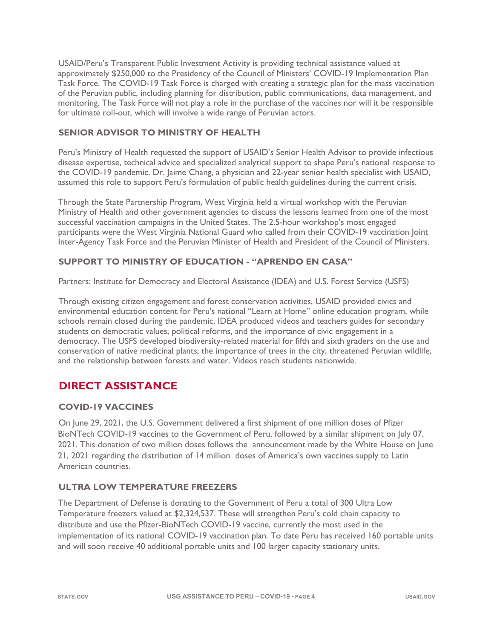USAID/Peru's Transparent Public Investment Activity is providing technical assistance valued at approximately \$250,000 to the Presidency of the Council of Ministers' COVID-19 Implementation Plan Task Force. The COVID-19 Task Force is charged with creating a strategic plan for the mass vaccination of the Peruvian public, including planning for distribution, public communications, data management, and monitoring. The Task Force will not play a role in the purchase of the vaccines nor will it be responsible for ultimate roll-out, which will involve a wide range of Peruvian actors.

# **SENIOR ADVISOR TO MINISTRY OF HEALTH**

Peru's Ministry of Health requested the support of USAID's Senior Health Advisor to provide infectious disease expertise, technical advice and specialized analytical support to shape Peru's national response to the COVID-19 pandemic. Dr. Jaime Chang, a physician and 22-year senior health specialist with USAID, assumed this role to support Peru's formulation of public health guidelines during the current crisis.

Through the State Partnership Program, West Virginia held a virtual workshop with the Peruvian Ministry of Health and other government agencies to discuss the lessons learned from one of the most successful vaccination campaigns in the United States. The 2.5-hour workshop's most engaged participants were the West Virginia National Guard who called from their COVID-19 vaccination Joint Inter-Agency Task Force and the Peruvian Minister of Health and President of the Council of Ministers.

# **SUPPORT TO MINISTRY OF EDUCATION - "APRENDO EN CASA"**

Partners: Institute for Democracy and Electoral Assistance (IDEA) and U.S. Forest Service (USFS)

Through existing citizen engagement and forest conservation activities, USAID provided civics and environmental education content for Peru's national "Learn at Home" online education program, while schools remain closed during the pandemic. IDEA produced videos and teachers guides for secondary students on democratic values, political reforms, and the importance of civic engagement in a democracy. The USFS developed biodiversity-related material for fifth and sixth graders on the use and conservation of native medicinal plants, the importance of trees in the city, threatened Peruvian wildlife, and the relationship between forests and water. Videos reach students nationwide.

# **DIRECT ASSISTANCE**

# **COVID-19 VACCINES**

On June 29, 2021, the U.S. Government delivered a first shipment of one million doses of Pfizer BioNTech COVID-19 vaccines to the Government of Peru, followed by a similar shipment on July 07, 2021. This donation of two million doses follows the announcement made by the White House on June 21, 2021 regarding the distribution of 14 million doses of America's own vaccines supply to Latin American countries.

# **ULTRA LOW TEMPERATURE FREEZERS**

The Department of Defense is donating to the Government of Peru a total of 300 Ultra Low Temperature freezers valued at \$2,324,537. These will strengthen Peru's cold chain capacity to distribute and use the Pfizer-BioNTech COVID-19 vaccine, currently the most used in the implementation of its national COVID-19 vaccination plan. To date Peru has received 160 portable units and will soon receive 40 additional portable units and 100 larger capacity stationary units.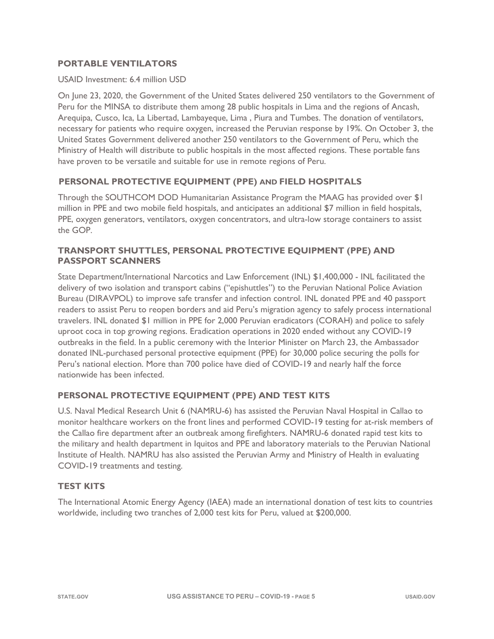# **PORTABLE VENTILATORS**

#### USAID Investment: 6.4 million USD

On June 23, 2020, the Government of the United States delivered 250 ventilators to the Government of Peru for the MINSA to distribute them among 28 public hospitals in Lima and the regions of Ancash, Arequipa, Cusco, Ica, La Libertad, Lambayeque, Lima , Piura and Tumbes. The donation of ventilators, necessary for patients who require oxygen, increased the Peruvian response by 19%. On October 3, the United States Government delivered another 250 ventilators to the Government of Peru, which the Ministry of Health will distribute to public hospitals in the most affected regions. These portable fans have proven to be versatile and suitable for use in remote regions of Peru.

# **PERSONAL PROTECTIVE EQUIPMENT (PPE) AND FIELD HOSPITALS**

Through the SOUTHCOM DOD Humanitarian Assistance Program the MAAG has provided over \$1 million in PPE and two mobile field hospitals, and anticipates an additional \$7 million in field hospitals, PPE, oxygen generators, ventilators, oxygen concentrators, and ultra-low storage containers to assist the GOP.

#### **TRANSPORT SHUTTLES, PERSONAL PROTECTIVE EQUIPMENT (PPE) AND PASSPORT SCANNERS**

State Department/International Narcotics and Law Enforcement (INL) \$1,400,000 - INL facilitated the delivery of two isolation and transport cabins ("epishuttles") to the Peruvian National Police Aviation Bureau (DIRAVPOL) to improve safe transfer and infection control. INL donated PPE and 40 passport readers to assist Peru to reopen borders and aid Peru's migration agency to safely process international travelers. INL donated \$1 million in PPE for 2,000 Peruvian eradicators (CORAH) and police to safely uproot coca in top growing regions. Eradication operations in 2020 ended without any COVID-19 outbreaks in the field. In a public ceremony with the Interior Minister on March 23, the Ambassador donated INL-purchased personal protective equipment (PPE) for 30,000 police securing the polls for Peru's national election. More than 700 police have died of COVID-19 and nearly half the force nationwide has been infected.

# **PERSONAL PROTECTIVE EQUIPMENT (PPE) AND TEST KITS**

U.S. Naval Medical Research Unit 6 (NAMRU-6) has assisted the Peruvian Naval Hospital in Callao to monitor healthcare workers on the front lines and performed COVID-19 testing for at-risk members of the Callao fire department after an outbreak among firefighters. NAMRU-6 donated rapid test kits to the military and health department in Iquitos and PPE and laboratory materials to the Peruvian National Institute of Health. NAMRU has also assisted the Peruvian Army and Ministry of Health in evaluating COVID-19 treatments and testing.

#### **TEST KITS**

The International Atomic Energy Agency (IAEA) made an international donation of test kits to countries worldwide, including two tranches of 2,000 test kits for Peru, valued at \$200,000.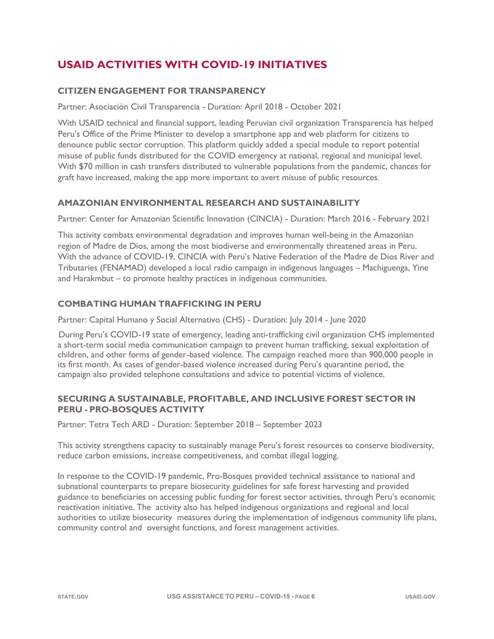# **USAID ACTIVITIES WITH COVID-19 INITIATIVES**

# **CITIZEN ENGAGEMENT FOR TRANSPARENCY**

Partner: Asociación Civil Transparencia - Duration: April 2018 - October 2021

With USAID technical and financial support, leading Peruvian civil organization Transparencia has helped Peru's Office of the Prime Minister to develop a smartphone app and web platform for citizens to denounce public sector corruption. This platform quickly added a special module to report potential misuse of public funds distributed for the COVID emergency at national, regional and municipal level. With \$70 million in cash transfers distributed to vulnerable populations from the pandemic, chances for graft have increased, making the app more important to avert misuse of public resources.

#### **AMAZONIAN ENVIRONMENTAL RESEARCH AND SUSTAINABILITY**

Partner: Center for Amazonian Scientific Innovation (CINCIA) - Duration: March 2016 - February 2021

This activity combats environmental degradation and improves human well-being in the Amazonian region of Madre de Dios, among the most biodiverse and environmentally threatened areas in Peru. With the advance of COVID-19, CINCIA with Peru's Native Federation of the Madre de Dios River and Tributaries (FENAMAD) developed a local radio campaign in indigenous languages – Machiguenga, Yine and Harakmbut – to promote healthy practices in indigenous communities.

# **COMBATING HUMAN TRAFFICKING IN PERU**

Partner: Capital Humano y Social Alternativo (CHS) - Duration: July 2014 - June 2020

During Peru's COVID-19 state of emergency, leading anti-trafficking civil organization CHS implemented a short-term social media communication campaign to prevent human trafficking, sexual exploitation of children, and other forms of gender-based violence. The campaign reached more than 900,000 people in its first month. As cases of gender-based violence increased during Peru's quarantine period, the campaign also provided telephone consultations and advice to potential victims of violence.

#### **SECURING A SUSTAINABLE, PROFITABLE, AND INCLUSIVE FOREST SECTOR IN PERU - PRO-BOSQUES ACTIVITY**

Partner: Tetra Tech ARD - Duration: September 2018 – September 2023

This activity strengthens capacity to sustainably manage Peru's forest resources to conserve biodiversity, reduce carbon emissions, increase competitiveness, and combat illegal logging.

In response to the COVID-19 pandemic, Pro-Bosques provided technical assistance to national and subnational counterparts to prepare biosecurity guidelines for safe forest harvesting and provided guidance to beneficiaries on accessing public funding for forest sector activities, through Peru's economic reactivation initiative. The activity also has helped indigenous organizations and regional and local authorities to utilize biosecurity measures during the implementation of indigenous community life plans, community control and oversight functions, and forest management activities.